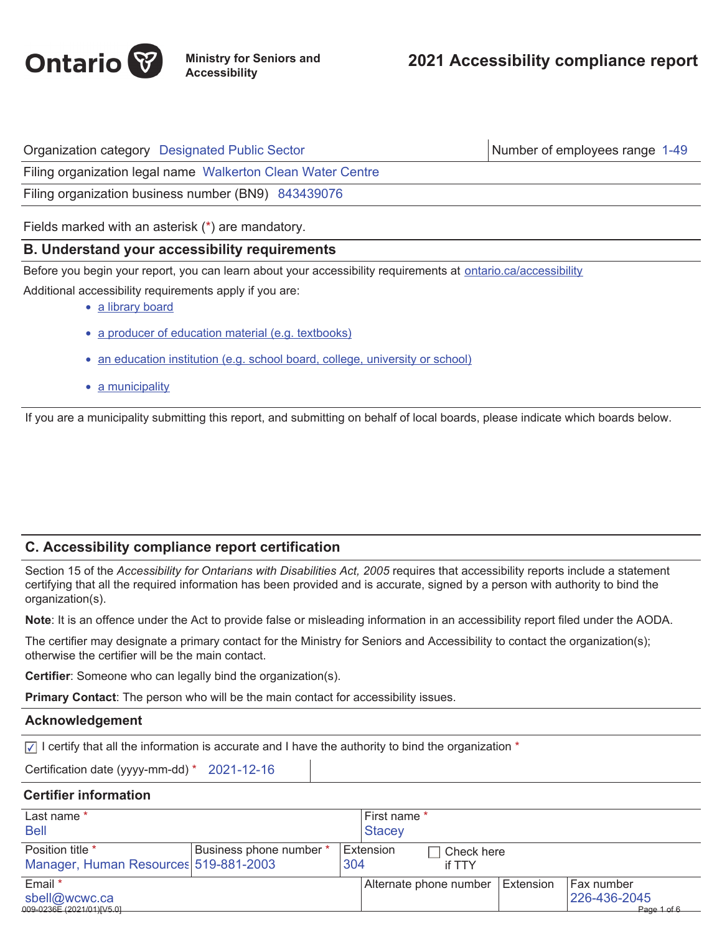

Organization category Designated Public Sector Number of employees range 1-49

Filing organization legal name Walkerton Clean Water Centre

Filing organization business number (BN9) 843439076

Fields marked with an asterisk (\*) are mandatory.

## **B. Understand your accessibility requirements**

Before you begin your report, you can learn about your accessibility requirements at ontario.ca/accessibility

Additional accessibility requirements apply if you are:

- a library board
- a producer of education material (e.g. textbooks)
- an education institution (e.g. school board, college, university or school)
- a municipality

If you are a municipality submitting this report, and submitting on behalf of local boards, please indicate which boards below.

## **C. Accessibility compliance report certification**

Section 15 of the *Accessibility for Ontarians with Disabilities Act, 2005* requires that accessibility reports include a statement certifying that all the required information has been provided and is accurate, signed by a person with authority to bind the organization(s).

**Note**: It is an offence under the Act to provide false or misleading information in an accessibility report filed under the AODA.

The certifier may designate a primary contact for the Ministry for Seniors and Accessibility to contact the organization(s); otherwise the certifier will be the main contact.

**Certifier**: Someone who can legally bind the organization(s).

**Primary Contact**: The person who will be the main contact for accessibility issues.

## **Acknowledgement**

 $\sqrt{ }$  I certify that all the information is accurate and I have the authority to bind the organization  $*$ 

Certification date (yyyy-mm-dd) \* 2021-12-16

## **Certifier information**

| Last name *<br><b>Bell</b>                                |                         |     | First name *<br> Stacey |                                    |  |                                           |
|-----------------------------------------------------------|-------------------------|-----|-------------------------|------------------------------------|--|-------------------------------------------|
| Position title *<br>Manager, Human Resources 519-881-2003 | Business phone number * | 304 | Extension               | Check here<br>if TTY               |  |                                           |
| Email *<br>sbell@wcwc.ca<br>009-0236E (2021/01)[V5.0]     |                         |     |                         | Alternate phone number   Extension |  | Fax number<br>226-436-2045<br>Page 1 of 6 |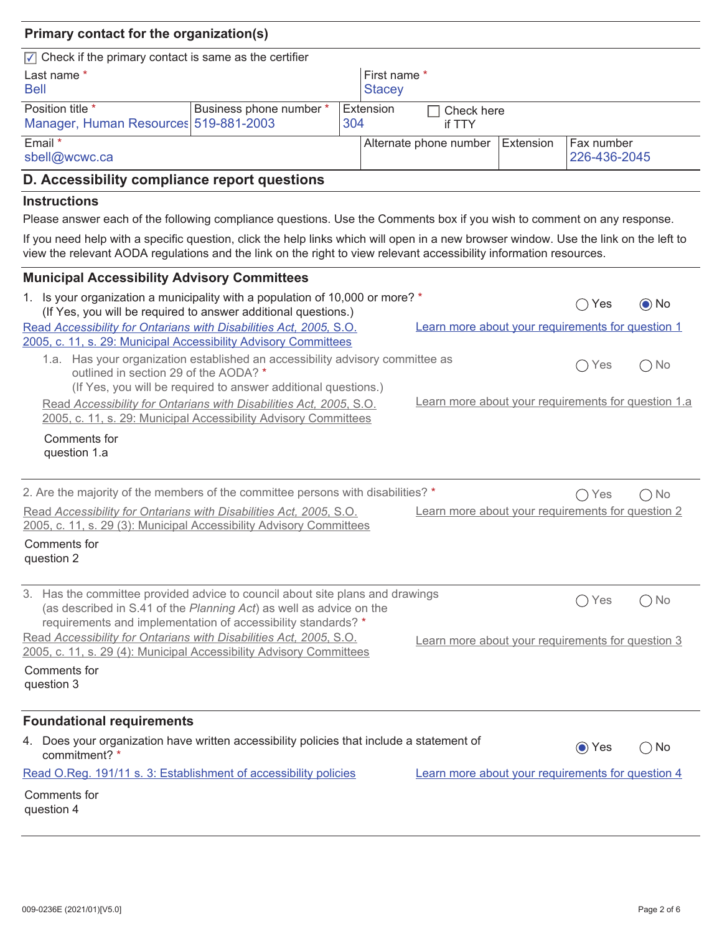# **Primary contact for the organization(s)**

| $\sqrt{\phantom{a}}$ Check if the primary contact is same as the certifier |                         |                        |           |                        |           |                            |  |
|----------------------------------------------------------------------------|-------------------------|------------------------|-----------|------------------------|-----------|----------------------------|--|
| Last name *<br><b>Bell</b>                                                 |                         | First name *<br>Stacey |           |                        |           |                            |  |
| Position title *<br>Manager, Human Resources 519-881-2003                  | Business phone number * | 304                    | Extension | Check here<br>if TTY   |           |                            |  |
| Email *<br>sbell@wcwc.ca                                                   |                         |                        |           | Alternate phone number | Extension | Fax number<br>226-436-2045 |  |

# **D. Accessibility compliance report questions**

#### **Instructions**

Please answer each of the following compliance questions. Use the Comments box if you wish to comment on any response.

If you need help with a specific question, click the help links which will open in a new browser window. Use the link on the left to view the relevant AODA regulations and the link on the right to view relevant accessibility information resources.

| <b>Municipal Accessibility Advisory Committees</b>                                                                                                                                                                    |                                                     |               |               |  |
|-----------------------------------------------------------------------------------------------------------------------------------------------------------------------------------------------------------------------|-----------------------------------------------------|---------------|---------------|--|
| 1. Is your organization a municipality with a population of 10,000 or more? *<br>(If Yes, you will be required to answer additional questions.)                                                                       |                                                     |               | $\odot$ No    |  |
| Read Accessibility for Ontarians with Disabilities Act, 2005, S.O.<br>2005, c. 11, s. 29: Municipal Accessibility Advisory Committees                                                                                 | Learn more about your requirements for question 1   |               |               |  |
| 1.a. Has your organization established an accessibility advisory committee as<br>outlined in section 29 of the AODA? *<br>(If Yes, you will be required to answer additional questions.)                              |                                                     | Yes           | $\bigcirc$ No |  |
| Read Accessibility for Ontarians with Disabilities Act, 2005, S.O.<br>2005, c. 11, s. 29: Municipal Accessibility Advisory Committees                                                                                 | Learn more about your requirements for question 1.a |               |               |  |
| Comments for<br>question 1.a                                                                                                                                                                                          |                                                     |               |               |  |
| 2. Are the majority of the members of the committee persons with disabilities? *                                                                                                                                      |                                                     | $\bigcap$ Yes | $\bigcap$ No  |  |
| Read Accessibility for Ontarians with Disabilities Act, 2005, S.O.<br>2005, c. 11, s. 29 (3): Municipal Accessibility Advisory Committees                                                                             | Learn more about your requirements for question 2   |               |               |  |
| Comments for<br>question 2                                                                                                                                                                                            |                                                     |               |               |  |
| 3. Has the committee provided advice to council about site plans and drawings<br>(as described in S.41 of the Planning Act) as well as advice on the<br>requirements and implementation of accessibility standards? * |                                                     | Yes           | $\bigcirc$ No |  |
| Read Accessibility for Ontarians with Disabilities Act, 2005, S.O.<br>2005, c. 11, s. 29 (4): Municipal Accessibility Advisory Committees                                                                             | Learn more about your requirements for question 3   |               |               |  |
| Comments for<br>question 3                                                                                                                                                                                            |                                                     |               |               |  |
| <b>Foundational requirements</b>                                                                                                                                                                                      |                                                     |               |               |  |
| 4. Does your organization have written accessibility policies that include a statement of<br>commitment? *                                                                                                            |                                                     | ⊙ Yes         | $\bigcirc$ No |  |
| Read O.Reg. 191/11 s. 3: Establishment of accessibility policies                                                                                                                                                      | Learn more about your requirements for question 4   |               |               |  |
| Comments for<br>question 4                                                                                                                                                                                            |                                                     |               |               |  |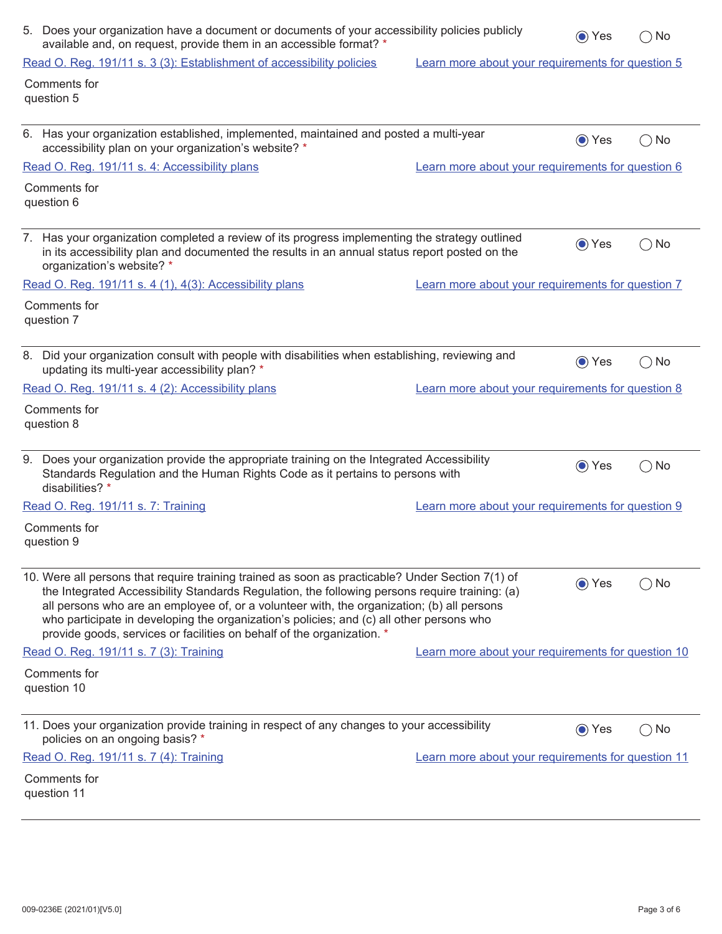| 5. Does your organization have a document or documents of your accessibility policies publicly<br>available and, on request, provide them in an accessible format? *                                                                                                                                                                                                                                                                                                   |                                                    |       | $\bigcirc$ No |
|------------------------------------------------------------------------------------------------------------------------------------------------------------------------------------------------------------------------------------------------------------------------------------------------------------------------------------------------------------------------------------------------------------------------------------------------------------------------|----------------------------------------------------|-------|---------------|
| Read O. Reg. 191/11 s. 3 (3): Establishment of accessibility policies                                                                                                                                                                                                                                                                                                                                                                                                  | Learn more about your requirements for question 5  |       |               |
| Comments for<br>question 5                                                                                                                                                                                                                                                                                                                                                                                                                                             |                                                    |       |               |
| 6. Has your organization established, implemented, maintained and posted a multi-year<br>accessibility plan on your organization's website? *                                                                                                                                                                                                                                                                                                                          |                                                    | ⊙ Yes | $\bigcirc$ No |
| Read O. Reg. 191/11 s. 4: Accessibility plans                                                                                                                                                                                                                                                                                                                                                                                                                          | Learn more about your requirements for question 6  |       |               |
| Comments for<br>question 6                                                                                                                                                                                                                                                                                                                                                                                                                                             |                                                    |       |               |
| 7. Has your organization completed a review of its progress implementing the strategy outlined<br>in its accessibility plan and documented the results in an annual status report posted on the<br>organization's website? *                                                                                                                                                                                                                                           |                                                    | ⊙ Yes | $\bigcirc$ No |
| Read O. Reg. 191/11 s. 4 (1), 4(3): Accessibility plans                                                                                                                                                                                                                                                                                                                                                                                                                | Learn more about your requirements for question 7  |       |               |
| Comments for<br>question 7                                                                                                                                                                                                                                                                                                                                                                                                                                             |                                                    |       |               |
| 8. Did your organization consult with people with disabilities when establishing, reviewing and<br>updating its multi-year accessibility plan? *                                                                                                                                                                                                                                                                                                                       |                                                    | ⊙ Yes | $\bigcirc$ No |
| Read O. Reg. 191/11 s. 4 (2): Accessibility plans                                                                                                                                                                                                                                                                                                                                                                                                                      | Learn more about your requirements for question 8  |       |               |
| Comments for<br>question 8                                                                                                                                                                                                                                                                                                                                                                                                                                             |                                                    |       |               |
| 9. Does your organization provide the appropriate training on the Integrated Accessibility<br>Standards Regulation and the Human Rights Code as it pertains to persons with<br>disabilities? *                                                                                                                                                                                                                                                                         |                                                    | ⊙ Yes | $\bigcirc$ No |
| Read O. Reg. 191/11 s. 7: Training                                                                                                                                                                                                                                                                                                                                                                                                                                     | Learn more about your requirements for question 9  |       |               |
| Comments for<br>question 9                                                                                                                                                                                                                                                                                                                                                                                                                                             |                                                    |       |               |
| 10. Were all persons that require training trained as soon as practicable? Under Section 7(1) of<br>the Integrated Accessibility Standards Regulation, the following persons require training: (a)<br>all persons who are an employee of, or a volunteer with, the organization; (b) all persons<br>who participate in developing the organization's policies; and (c) all other persons who<br>provide goods, services or facilities on behalf of the organization. * |                                                    | ⊙ Yes | $\bigcirc$ No |
| Read O. Reg. 191/11 s. 7 (3): Training                                                                                                                                                                                                                                                                                                                                                                                                                                 | Learn more about your requirements for question 10 |       |               |
| Comments for<br>question 10                                                                                                                                                                                                                                                                                                                                                                                                                                            |                                                    |       |               |
| 11. Does your organization provide training in respect of any changes to your accessibility<br>policies on an ongoing basis? *                                                                                                                                                                                                                                                                                                                                         |                                                    | ⊙ Yes | $\bigcirc$ No |
| Read O. Reg. 191/11 s. 7 (4): Training                                                                                                                                                                                                                                                                                                                                                                                                                                 | Learn more about your requirements for question 11 |       |               |
| Comments for<br>question 11                                                                                                                                                                                                                                                                                                                                                                                                                                            |                                                    |       |               |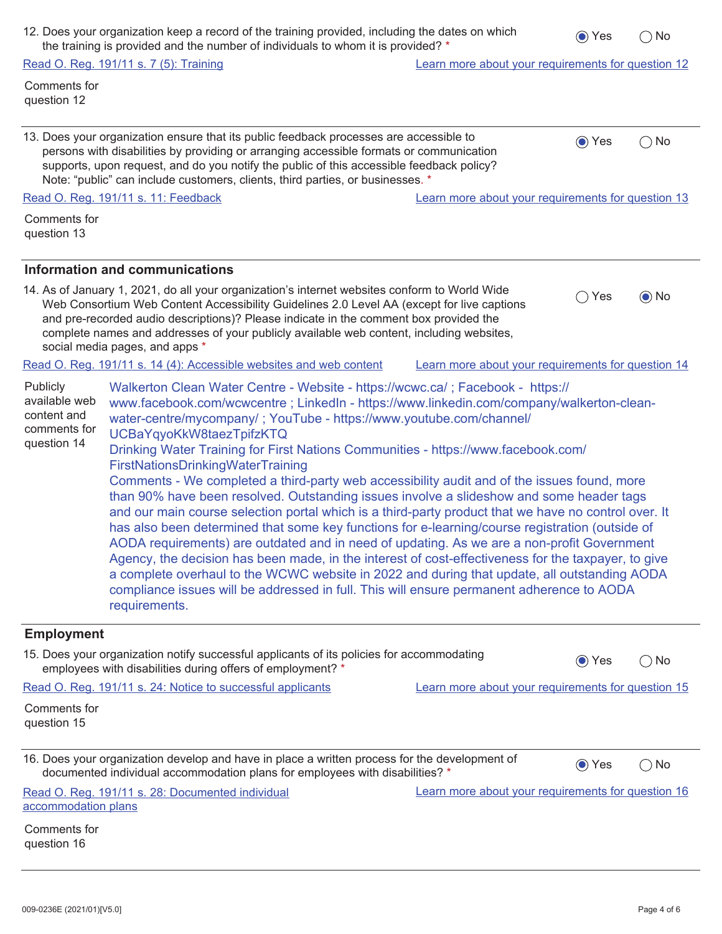| 12. Does your organization keep a record of the training provided, including the dates on which | $\bigcirc$ Yes $\bigcirc$ No |  |
|-------------------------------------------------------------------------------------------------|------------------------------|--|
| the training is provided and the number of individuals to whom it is provided? *                |                              |  |

13. Does your organization ensure that its public feedback processes are accessible to

Note: "public" can include customers, clients, third parties, or businesses. \*

persons with disabilities by providing or arranging accessible formats or communication supports, upon request, and do you notify the public of this accessible feedback policy?

Comments for question 12

| Comments for<br>question 13                                             |                                                                                                                                                                                                                                                                                                                                                                                                                    |     |            |
|-------------------------------------------------------------------------|--------------------------------------------------------------------------------------------------------------------------------------------------------------------------------------------------------------------------------------------------------------------------------------------------------------------------------------------------------------------------------------------------------------------|-----|------------|
|                                                                         | Information and communications                                                                                                                                                                                                                                                                                                                                                                                     |     |            |
|                                                                         | 14. As of January 1, 2021, do all your organization's internet websites conform to World Wide<br>Web Consortium Web Content Accessibility Guidelines 2.0 Level AA (except for live captions<br>and pre-recorded audio descriptions)? Please indicate in the comment box provided the<br>complete names and addresses of your publicly available web content, including websites,<br>social media pages, and apps * | Yes | $\odot$ No |
|                                                                         | Read O. Reg. 191/11 s. 14 (4): Accessible websites and web content<br>Learn more about your requirements for question 14                                                                                                                                                                                                                                                                                           |     |            |
| Publicly<br>available web<br>content and<br>comments for<br>question 14 | Walkerton Clean Water Centre - Website - https://wcwc.ca/; Facebook - https://<br>www.facebook.com/wcwcentre; LinkedIn - https://www.linkedin.com/company/walkerton-clean-<br>water-centre/mycompany/; YouTube - https://www.youtube.com/channel/<br>UCBaYqyoKkW8taezTpifzKTQ<br>Drinking Water Training for First Nations Communities - https://www.facebook.com/<br><b>FirstNationsDrinkingWaterTraining</b>     |     |            |

Read O. Reg. 191/11 s. 11: Feedback Learn more about your requirements for question 13

Comments - We completed a third-party web accessibility audit and of the issues found, more than 90% have been resolved. Outstanding issues involve a slideshow and some header tags and our main course selection portal which is a third-party product that we have no control over. It has also been determined that some key functions for e-learning/course registration (outside of AODA requirements) are outdated and in need of updating. As we are a non-profit Government Agency, the decision has been made, in the interest of cost-effectiveness for the taxpayer, to give a complete overhaul to the WCWC website in 2022 and during that update, all outstanding AODA compliance issues will be addressed in full. This will ensure permanent adherence to AODA requirements.

## **Employment**

question 16

| 15. Does your organization notify successful applicants of its policies for accommodating<br>employees with disabilities during offers of employment? *                       |                                                    | $\odot$ Yes | $( )$ No |
|-------------------------------------------------------------------------------------------------------------------------------------------------------------------------------|----------------------------------------------------|-------------|----------|
| Read O. Reg. 191/11 s. 24: Notice to successful applicants                                                                                                                    | Learn more about your requirements for question 15 |             |          |
| Comments for<br>question 15                                                                                                                                                   |                                                    |             |          |
| 16. Does your organization develop and have in place a written process for the development of<br>documented individual accommodation plans for employees with disabilities? * |                                                    | $\odot$ Yes | $()$ No  |
| Read O. Reg. 191/11 s. 28: Documented individual<br>accommodation plans                                                                                                       | Learn more about your requirements for question 16 |             |          |
| Comments for                                                                                                                                                                  |                                                    |             |          |

 $\bigcirc$  Yes  $\bigcirc$  No

Read O. Reg. 191/11 s. 7 (5): Training The Contract Contract Cearn more about your requirements for question 12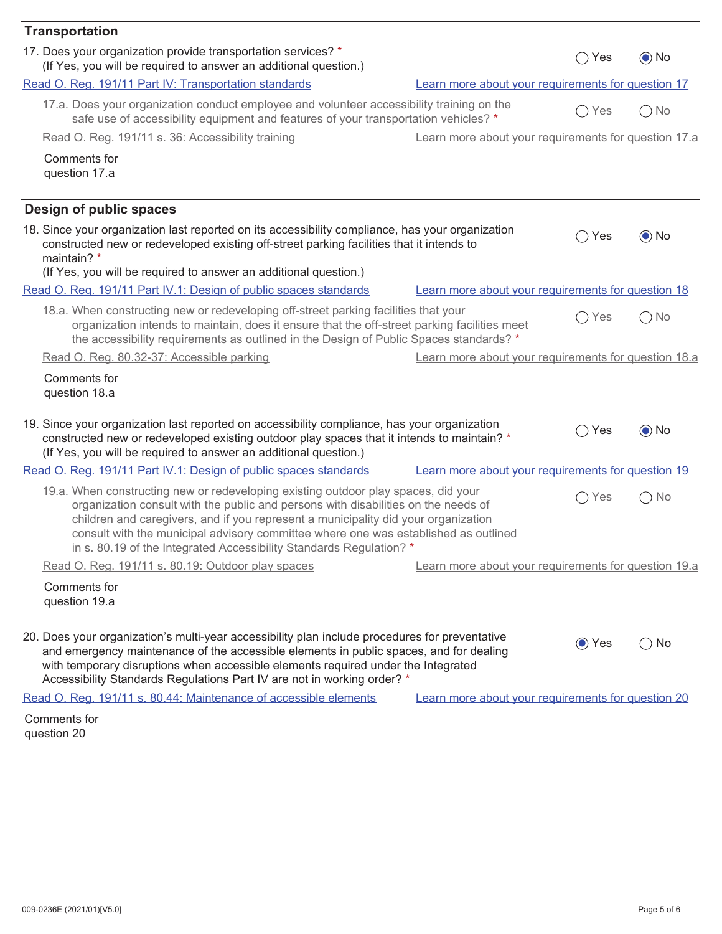| <b>Transportation</b>                                                                                                                                                                                                                                                                                                                                                                                                        |                                                      |                      |                     |
|------------------------------------------------------------------------------------------------------------------------------------------------------------------------------------------------------------------------------------------------------------------------------------------------------------------------------------------------------------------------------------------------------------------------------|------------------------------------------------------|----------------------|---------------------|
| 17. Does your organization provide transportation services? *<br>(If Yes, you will be required to answer an additional question.)                                                                                                                                                                                                                                                                                            |                                                      | Yes<br>$\rightarrow$ | $\odot$ No          |
| Read O. Reg. 191/11 Part IV: Transportation standards                                                                                                                                                                                                                                                                                                                                                                        | Learn more about your requirements for question 17   |                      |                     |
| 17.a. Does your organization conduct employee and volunteer accessibility training on the<br>safe use of accessibility equipment and features of your transportation vehicles? *                                                                                                                                                                                                                                             |                                                      | Yes                  | $\bigcap$ No        |
| Read O. Reg. 191/11 s. 36: Accessibility training                                                                                                                                                                                                                                                                                                                                                                            | Learn more about your requirements for question 17.a |                      |                     |
| Comments for<br>question 17.a                                                                                                                                                                                                                                                                                                                                                                                                |                                                      |                      |                     |
| Design of public spaces                                                                                                                                                                                                                                                                                                                                                                                                      |                                                      |                      |                     |
| 18. Since your organization last reported on its accessibility compliance, has your organization<br>constructed new or redeveloped existing off-street parking facilities that it intends to<br>maintain? *<br>(If Yes, you will be required to answer an additional question.)                                                                                                                                              |                                                      | Yes<br>$\rightarrow$ | $\odot$ No          |
| Read O. Reg. 191/11 Part IV.1: Design of public spaces standards                                                                                                                                                                                                                                                                                                                                                             | Learn more about your requirements for question 18   |                      |                     |
| 18.a. When constructing new or redeveloping off-street parking facilities that your<br>organization intends to maintain, does it ensure that the off-street parking facilities meet<br>the accessibility requirements as outlined in the Design of Public Spaces standards? *                                                                                                                                                |                                                      | Yes                  | ) No                |
| Read O. Reg. 80.32-37: Accessible parking                                                                                                                                                                                                                                                                                                                                                                                    | Learn more about your requirements for question 18.a |                      |                     |
| Comments for<br>question 18.a                                                                                                                                                                                                                                                                                                                                                                                                |                                                      |                      |                     |
| 19. Since your organization last reported on accessibility compliance, has your organization<br>constructed new or redeveloped existing outdoor play spaces that it intends to maintain? *<br>(If Yes, you will be required to answer an additional question.)                                                                                                                                                               |                                                      | Yes                  | $\odot$ No          |
| Read O. Reg. 191/11 Part IV.1: Design of public spaces standards                                                                                                                                                                                                                                                                                                                                                             | Learn more about your requirements for question 19   |                      |                     |
| 19.a. When constructing new or redeveloping existing outdoor play spaces, did your<br>organization consult with the public and persons with disabilities on the needs of<br>children and caregivers, and if you represent a municipality did your organization<br>consult with the municipal advisory committee where one was established as outlined<br>in s. 80.19 of the Integrated Accessibility Standards Regulation? * |                                                      | Yes<br>$\rightarrow$ | No<br>$\rightarrow$ |
| Read O. Reg. 191/11 s. 80.19: Outdoor play spaces                                                                                                                                                                                                                                                                                                                                                                            | Learn more about your requirements for question 19.a |                      |                     |
| Comments for<br>question 19.a                                                                                                                                                                                                                                                                                                                                                                                                |                                                      |                      |                     |
| 20. Does your organization's multi-year accessibility plan include procedures for preventative<br>and emergency maintenance of the accessible elements in public spaces, and for dealing<br>with temporary disruptions when accessible elements required under the Integrated<br>Accessibility Standards Regulations Part IV are not in working order? *                                                                     |                                                      | ⊙ Yes                | $\bigcirc$ No       |
| Read O. Reg. 191/11 s. 80.44: Maintenance of accessible elements                                                                                                                                                                                                                                                                                                                                                             | Learn more about your requirements for question 20   |                      |                     |
| Comments for                                                                                                                                                                                                                                                                                                                                                                                                                 |                                                      |                      |                     |

question 20